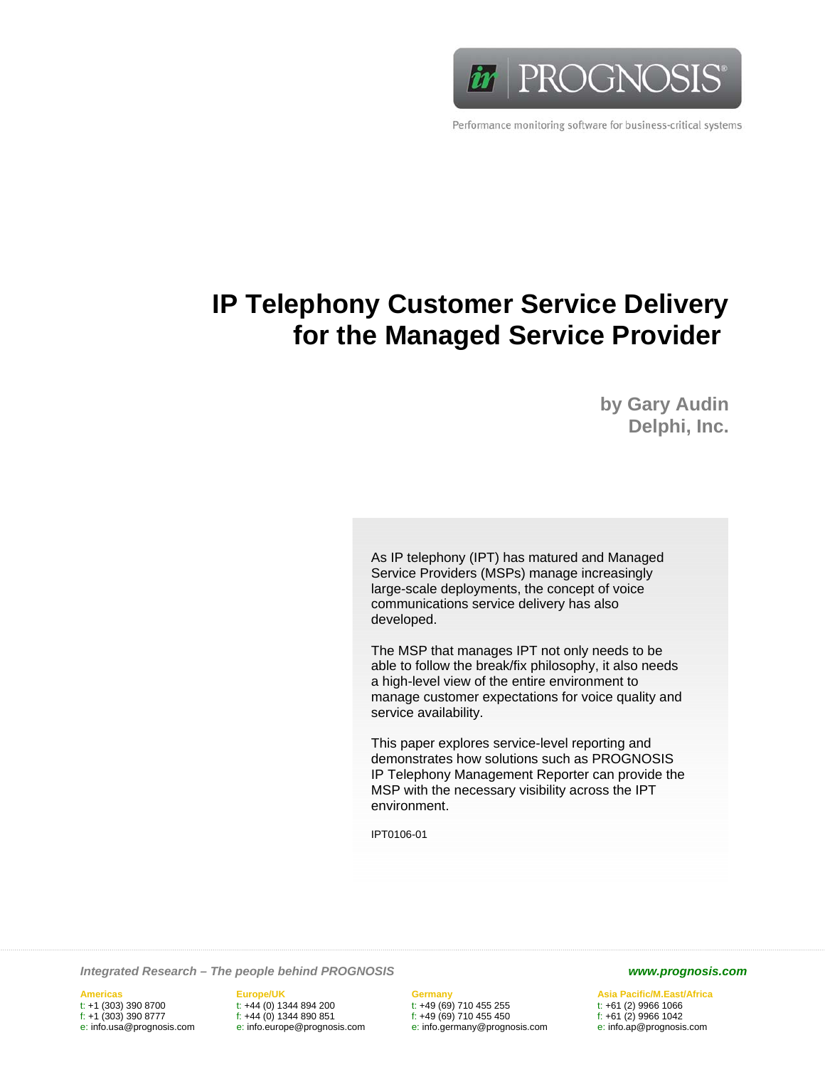

Performance monitoring software for business-critical systems

# **IP Telephony Customer Service Delivery for the Managed Service Provider**

**by Gary Audin Delphi, Inc.** 

As IP telephony (IPT) has matured and Managed Service Providers (MSPs) manage increasingly large-scale deployments, the concept of voice communications service delivery has also developed.

The MSP that manages IPT not only needs to be able to follow the break/fix philosophy, it also needs a high-level view of the entire environment to manage customer expectations for voice quality and service availability.

This paper explores service-level reporting and demonstrates how solutions such as PROGNOSIS IP Telephony Management Reporter can provide the MSP with the necessary visibility across the IPT environment.

IPT0106-01

*Integrated Research – The people behind PROGNOSIS www.prognosis.com* 

**Americas Europe/UK Germany Asia Pacific/M.East/Africa**  t: +1 (303) 390 8700 t: +44 (0) 1344 894 200 t: +49 (69) 710 455 255 t: +61 (2) 9966 1066 f:  $+44 (0)$  1344 890 851 e: info.usa@prognosis.com e: info.europe@prognosis.com e: info.germany@prognosis.com e: info.ap@prognosis.com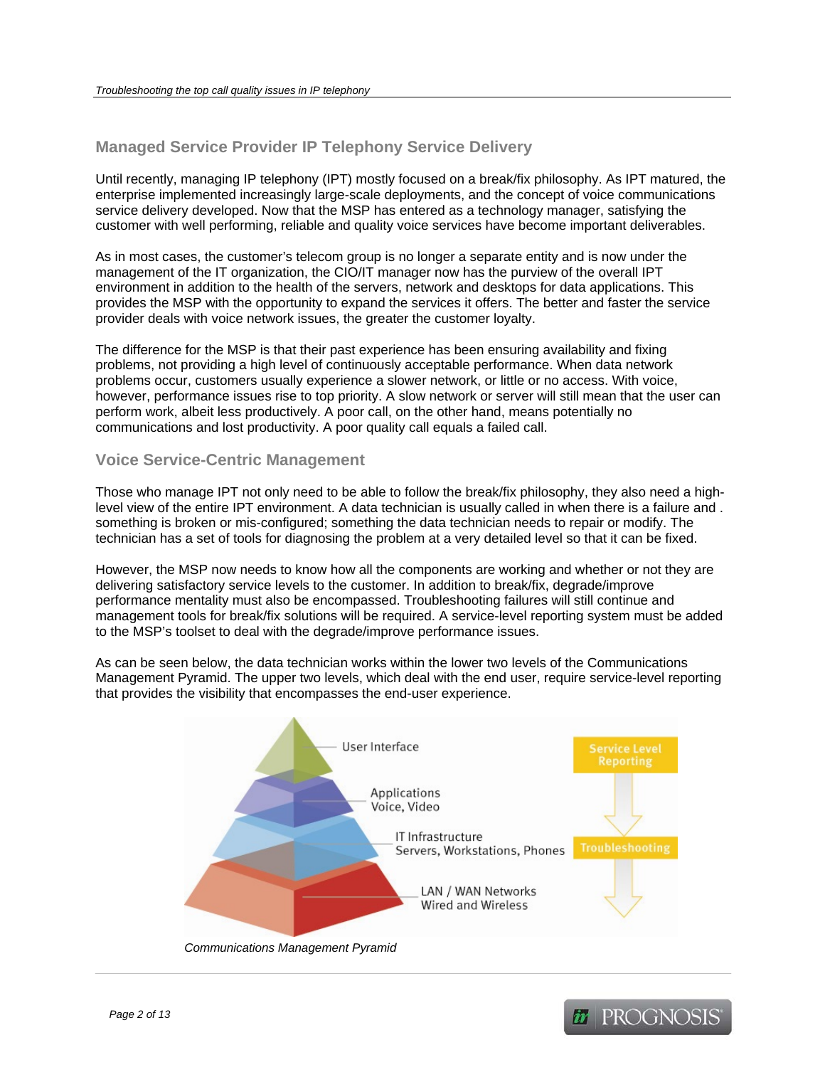# **Managed Service Provider IP Telephony Service Delivery**

Until recently, managing IP telephony (IPT) mostly focused on a break/fix philosophy. As IPT matured, the enterprise implemented increasingly large-scale deployments, and the concept of voice communications service delivery developed. Now that the MSP has entered as a technology manager, satisfying the customer with well performing, reliable and quality voice services have become important deliverables.

As in most cases, the customer's telecom group is no longer a separate entity and is now under the management of the IT organization, the CIO/IT manager now has the purview of the overall IPT environment in addition to the health of the servers, network and desktops for data applications. This provides the MSP with the opportunity to expand the services it offers. The better and faster the service provider deals with voice network issues, the greater the customer loyalty.

The difference for the MSP is that their past experience has been ensuring availability and fixing problems, not providing a high level of continuously acceptable performance. When data network problems occur, customers usually experience a slower network, or little or no access. With voice, however, performance issues rise to top priority. A slow network or server will still mean that the user can perform work, albeit less productively. A poor call, on the other hand, means potentially no communications and lost productivity. A poor quality call equals a failed call.

## **Voice Service-Centric Management**

Those who manage IPT not only need to be able to follow the break/fix philosophy, they also need a highlevel view of the entire IPT environment. A data technician is usually called in when there is a failure and . something is broken or mis-configured; something the data technician needs to repair or modify. The technician has a set of tools for diagnosing the problem at a very detailed level so that it can be fixed.

However, the MSP now needs to know how all the components are working and whether or not they are delivering satisfactory service levels to the customer. In addition to break/fix, degrade/improve performance mentality must also be encompassed. Troubleshooting failures will still continue and management tools for break/fix solutions will be required. A service-level reporting system must be added to the MSP's toolset to deal with the degrade/improve performance issues.

As can be seen below, the data technician works within the lower two levels of the Communications Management Pyramid. The upper two levels, which deal with the end user, require service-level reporting that provides the visibility that encompasses the end-user experience.



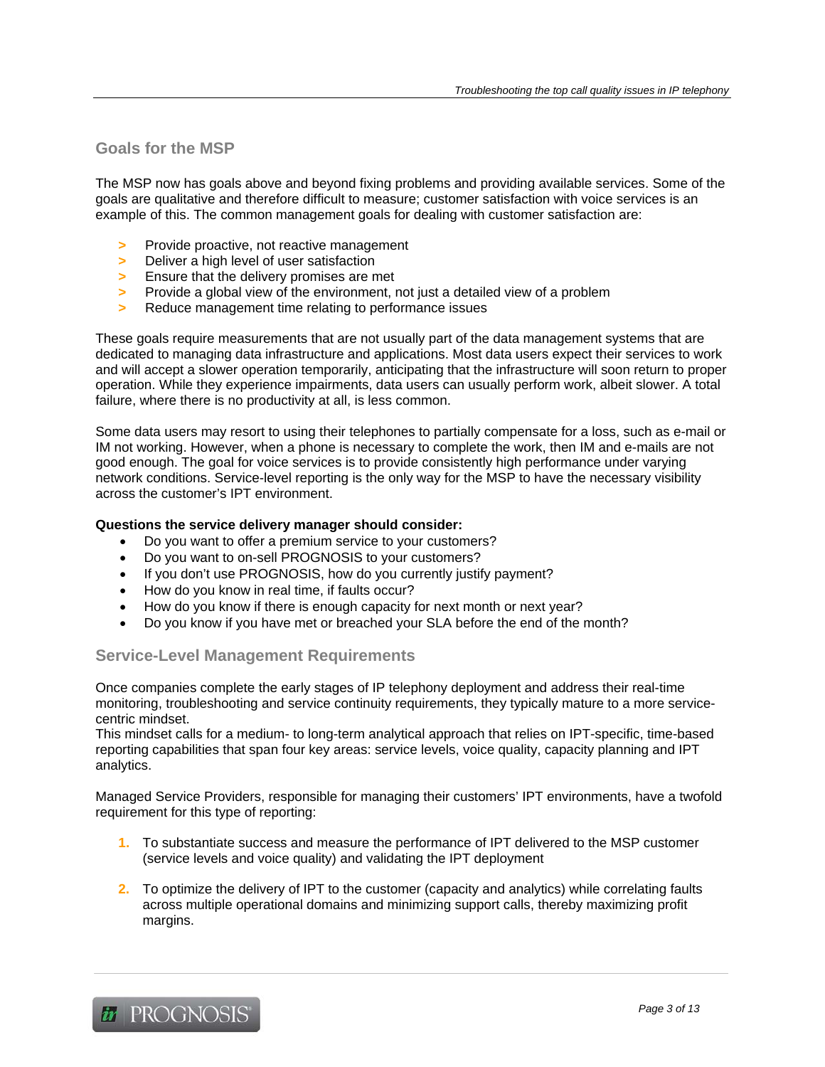## **Goals for the MSP**

The MSP now has goals above and beyond fixing problems and providing available services. Some of the goals are qualitative and therefore difficult to measure; customer satisfaction with voice services is an example of this. The common management goals for dealing with customer satisfaction are:

- **>** Provide proactive, not reactive management
- **>** Deliver a high level of user satisfaction
- **>** Ensure that the delivery promises are met
- **>** Provide a global view of the environment, not just a detailed view of a problem
- **>** Reduce management time relating to performance issues

These goals require measurements that are not usually part of the data management systems that are dedicated to managing data infrastructure and applications. Most data users expect their services to work and will accept a slower operation temporarily, anticipating that the infrastructure will soon return to proper operation. While they experience impairments, data users can usually perform work, albeit slower. A total failure, where there is no productivity at all, is less common.

Some data users may resort to using their telephones to partially compensate for a loss, such as e-mail or IM not working. However, when a phone is necessary to complete the work, then IM and e-mails are not good enough. The goal for voice services is to provide consistently high performance under varying network conditions. Service-level reporting is the only way for the MSP to have the necessary visibility across the customer's IPT environment.

#### **Questions the service delivery manager should consider:**

- Do you want to offer a premium service to your customers?
- Do you want to on-sell PROGNOSIS to your customers?
- If you don't use PROGNOSIS, how do you currently justify payment?
- How do you know in real time, if faults occur?
- How do you know if there is enough capacity for next month or next year?
- Do you know if you have met or breached your SLA before the end of the month?

## **Service-Level Management Requirements**

Once companies complete the early stages of IP telephony deployment and address their real-time monitoring, troubleshooting and service continuity requirements, they typically mature to a more servicecentric mindset.

This mindset calls for a medium- to long-term analytical approach that relies on IPT-specific, time-based reporting capabilities that span four key areas: service levels, voice quality, capacity planning and IPT analytics.

Managed Service Providers, responsible for managing their customers' IPT environments, have a twofold requirement for this type of reporting:

- **1.** To substantiate success and measure the performance of IPT delivered to the MSP customer (service levels and voice quality) and validating the IPT deployment
- **2.** To optimize the delivery of IPT to the customer (capacity and analytics) while correlating faults across multiple operational domains and minimizing support calls, thereby maximizing profit margins.

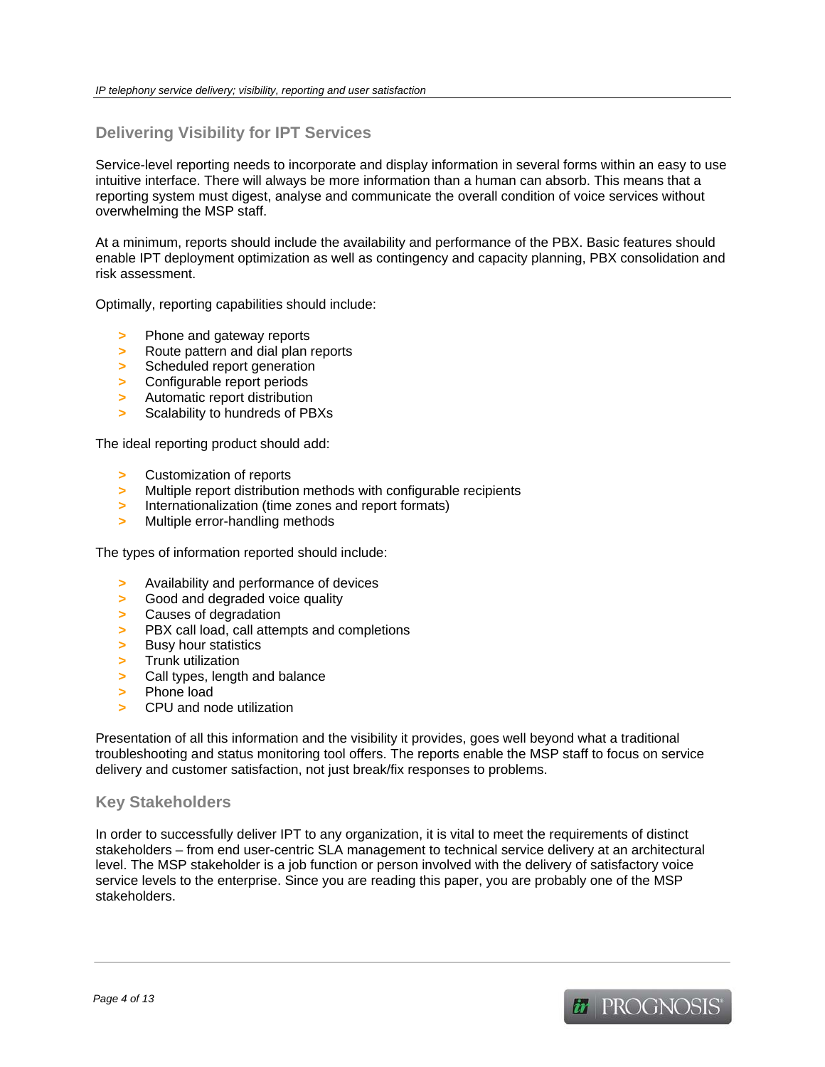## **Delivering Visibility for IPT Services**

Service-level reporting needs to incorporate and display information in several forms within an easy to use intuitive interface. There will always be more information than a human can absorb. This means that a reporting system must digest, analyse and communicate the overall condition of voice services without overwhelming the MSP staff.

At a minimum, reports should include the availability and performance of the PBX. Basic features should enable IPT deployment optimization as well as contingency and capacity planning, PBX consolidation and risk assessment.

Optimally, reporting capabilities should include:

- **>** Phone and gateway reports
- **>** Route pattern and dial plan reports
- **>** Scheduled report generation
- **>** Configurable report periods
- **>** Automatic report distribution
- **>** Scalability to hundreds of PBXs

The ideal reporting product should add:

- **>** Customization of reports
- **>** Multiple report distribution methods with configurable recipients
- **>** Internationalization (time zones and report formats)
- **>** Multiple error-handling methods

The types of information reported should include:

- **>** Availability and performance of devices
- **>** Good and degraded voice quality
- **>** Causes of degradation
- **>** PBX call load, call attempts and completions
- **>** Busy hour statistics
- **>** Trunk utilization
- **>** Call types, length and balance
- **>** Phone load
- **>** CPU and node utilization

Presentation of all this information and the visibility it provides, goes well beyond what a traditional troubleshooting and status monitoring tool offers. The reports enable the MSP staff to focus on service delivery and customer satisfaction, not just break/fix responses to problems.

## **Key Stakeholders**

In order to successfully deliver IPT to any organization, it is vital to meet the requirements of distinct stakeholders – from end user-centric SLA management to technical service delivery at an architectural level. The MSP stakeholder is a job function or person involved with the delivery of satisfactory voice service levels to the enterprise. Since you are reading this paper, you are probably one of the MSP stakeholders.

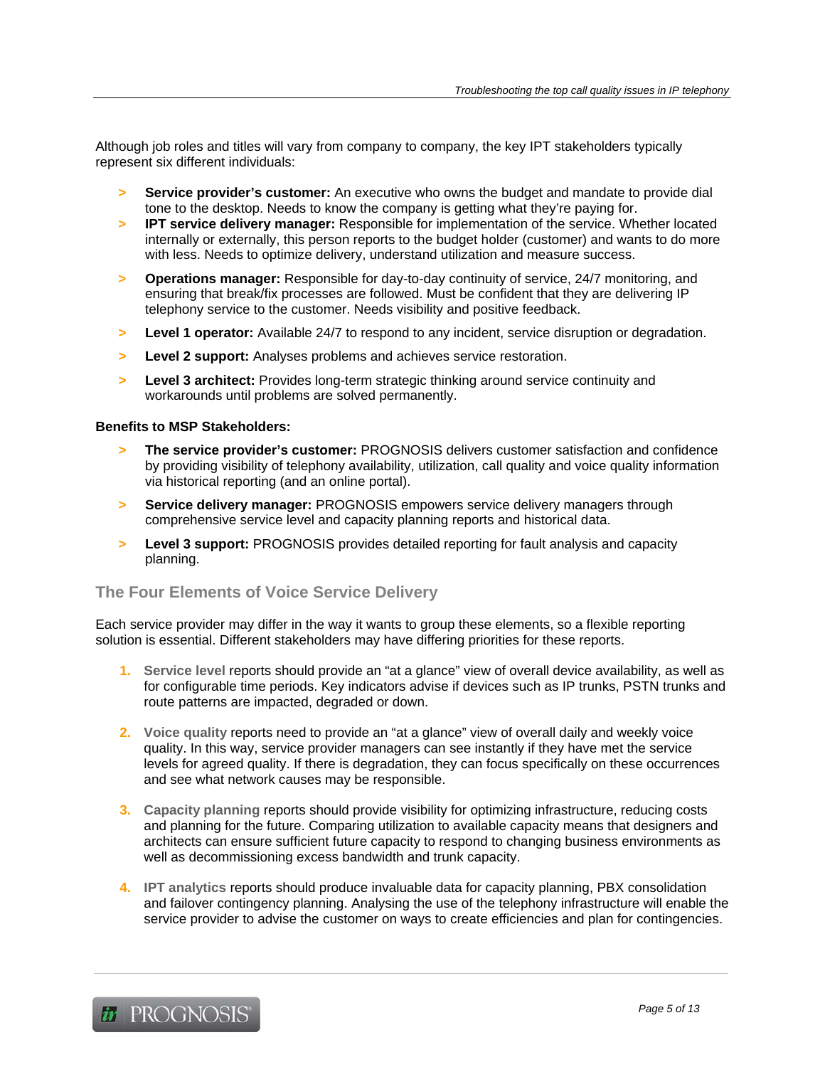Although job roles and titles will vary from company to company, the key IPT stakeholders typically represent six different individuals:

- **> Service provider's customer:** An executive who owns the budget and mandate to provide dial tone to the desktop. Needs to know the company is getting what they're paying for.
- **> IPT service delivery manager:** Responsible for implementation of the service. Whether located internally or externally, this person reports to the budget holder (customer) and wants to do more with less. Needs to optimize delivery, understand utilization and measure success.
- **> Operations manager:** Responsible for day-to-day continuity of service, 24/7 monitoring, and ensuring that break/fix processes are followed. Must be confident that they are delivering IP telephony service to the customer. Needs visibility and positive feedback.
- **> Level 1 operator:** Available 24/7 to respond to any incident, service disruption or degradation.
- **> Level 2 support:** Analyses problems and achieves service restoration.
- **> Level 3 architect:** Provides long-term strategic thinking around service continuity and workarounds until problems are solved permanently.

#### **Benefits to MSP Stakeholders:**

- **> The service provider's customer:** PROGNOSIS delivers customer satisfaction and confidence by providing visibility of telephony availability, utilization, call quality and voice quality information via historical reporting (and an online portal).
- **> Service delivery manager:** PROGNOSIS empowers service delivery managers through comprehensive service level and capacity planning reports and historical data.
- **> Level 3 support:** PROGNOSIS provides detailed reporting for fault analysis and capacity planning.

## **The Four Elements of Voice Service Delivery**

Each service provider may differ in the way it wants to group these elements, so a flexible reporting solution is essential. Different stakeholders may have differing priorities for these reports.

- **1. Service level** reports should provide an "at a glance" view of overall device availability, as well as for configurable time periods. Key indicators advise if devices such as IP trunks, PSTN trunks and route patterns are impacted, degraded or down.
- **2. Voice quality** reports need to provide an "at a glance" view of overall daily and weekly voice quality. In this way, service provider managers can see instantly if they have met the service levels for agreed quality. If there is degradation, they can focus specifically on these occurrences and see what network causes may be responsible.
- **3. Capacity planning** reports should provide visibility for optimizing infrastructure, reducing costs and planning for the future. Comparing utilization to available capacity means that designers and architects can ensure sufficient future capacity to respond to changing business environments as well as decommissioning excess bandwidth and trunk capacity.
- **4. IPT analytics** reports should produce invaluable data for capacity planning, PBX consolidation and failover contingency planning. Analysing the use of the telephony infrastructure will enable the service provider to advise the customer on ways to create efficiencies and plan for contingencies.

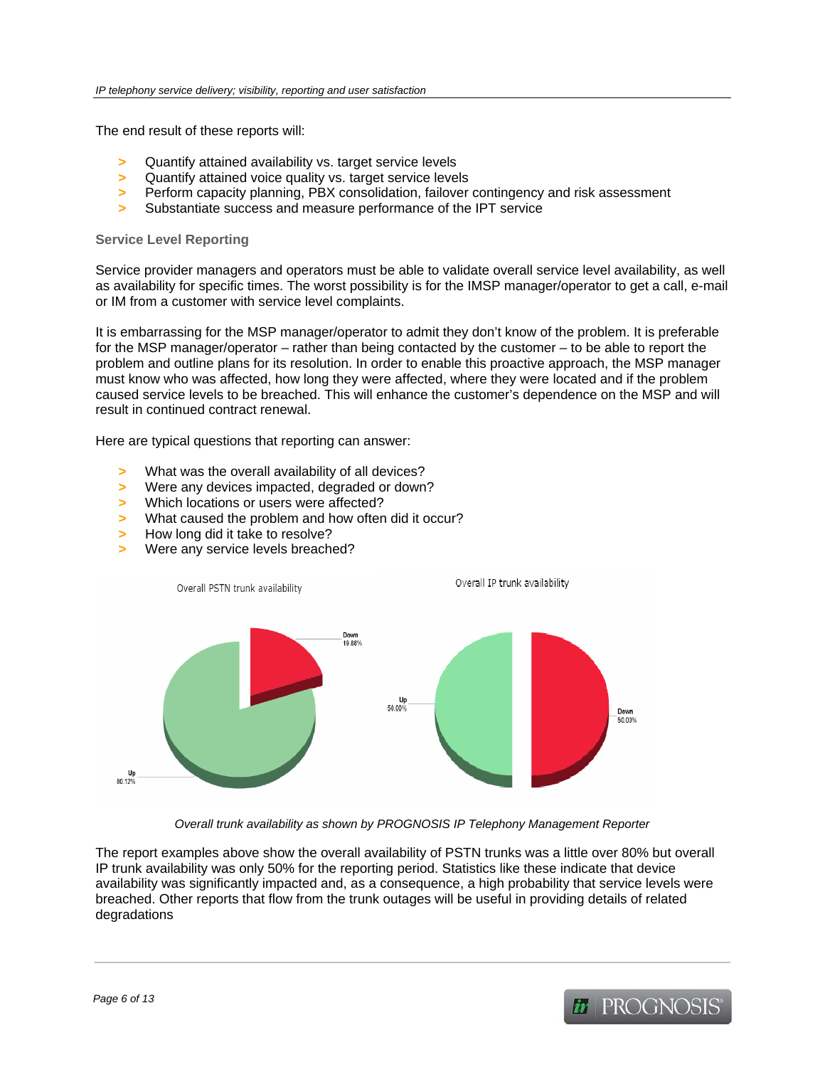The end result of these reports will:

- **>** Quantify attained availability vs. target service levels
- **>** Quantify attained voice quality vs. target service levels
- **>** Perform capacity planning, PBX consolidation, failover contingency and risk assessment
- **>** Substantiate success and measure performance of the IPT service

#### **Service Level Reporting**

Service provider managers and operators must be able to validate overall service level availability, as well as availability for specific times. The worst possibility is for the IMSP manager/operator to get a call, e-mail or IM from a customer with service level complaints.

It is embarrassing for the MSP manager/operator to admit they don't know of the problem. It is preferable for the MSP manager/operator – rather than being contacted by the customer – to be able to report the problem and outline plans for its resolution. In order to enable this proactive approach, the MSP manager must know who was affected, how long they were affected, where they were located and if the problem caused service levels to be breached. This will enhance the customer's dependence on the MSP and will result in continued contract renewal.

Here are typical questions that reporting can answer:

- **>** What was the overall availability of all devices?
- **>** Were any devices impacted, degraded or down?
- **>** Which locations or users were affected?
- **>** What caused the problem and how often did it occur?
- **>** How long did it take to resolve?
- **>** Were any service levels breached?



*Overall trunk availability as shown by PROGNOSIS IP Telephony Management Reporter* 

The report examples above show the overall availability of PSTN trunks was a little over 80% but overall IP trunk availability was only 50% for the reporting period. Statistics like these indicate that device availability was significantly impacted and, as a consequence, a high probability that service levels were breached. Other reports that flow from the trunk outages will be useful in providing details of related degradations

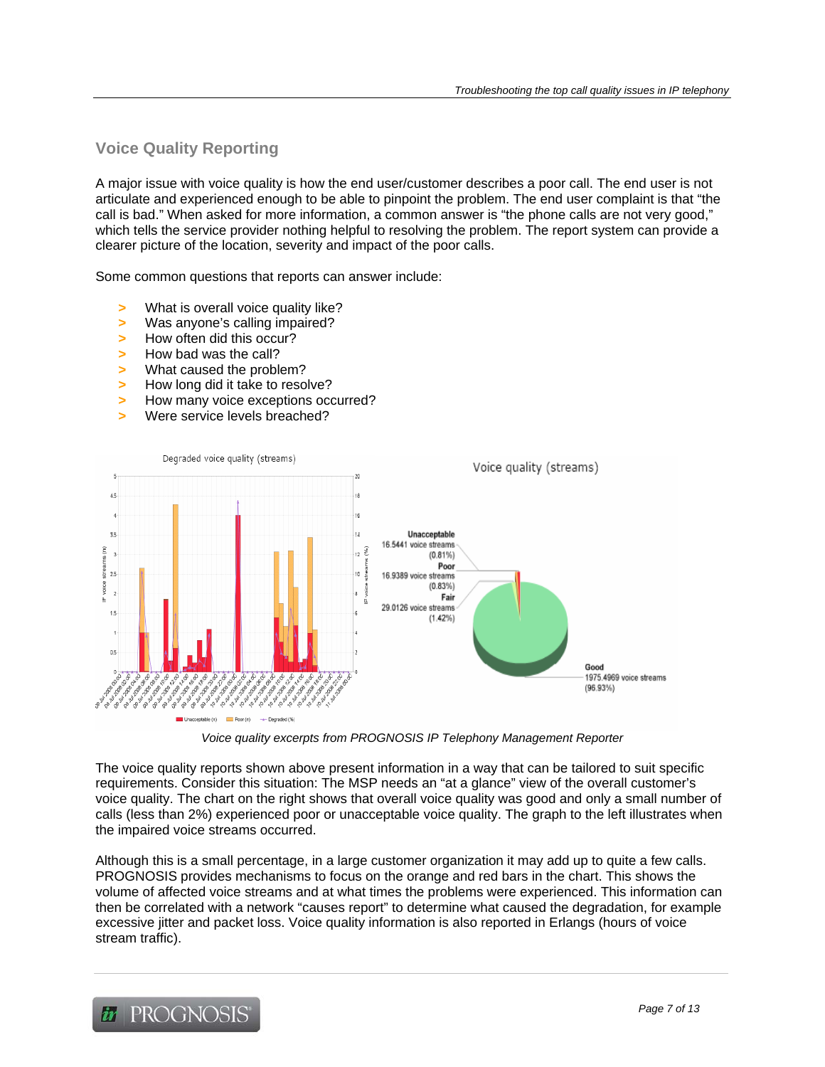# **Voice Quality Reporting**

A major issue with voice quality is how the end user/customer describes a poor call. The end user is not articulate and experienced enough to be able to pinpoint the problem. The end user complaint is that "the call is bad." When asked for more information, a common answer is "the phone calls are not very good," which tells the service provider nothing helpful to resolving the problem. The report system can provide a clearer picture of the location, severity and impact of the poor calls.

Some common questions that reports can answer include:

- **>** What is overall voice quality like?
- **>** Was anyone's calling impaired?
- **>** How often did this occur?
- **>** How bad was the call?
- **>** What caused the problem?
- **>** How long did it take to resolve?
- **>** How many voice exceptions occurred?
- **>** Were service levels breached?



*Voice quality excerpts from PROGNOSIS IP Telephony Management Reporter* 

The voice quality reports shown above present information in a way that can be tailored to suit specific requirements. Consider this situation: The MSP needs an "at a glance" view of the overall customer's voice quality. The chart on the right shows that overall voice quality was good and only a small number of calls (less than 2%) experienced poor or unacceptable voice quality. The graph to the left illustrates when the impaired voice streams occurred.

Although this is a small percentage, in a large customer organization it may add up to quite a few calls. PROGNOSIS provides mechanisms to focus on the orange and red bars in the chart. This shows the volume of affected voice streams and at what times the problems were experienced. This information can then be correlated with a network "causes report" to determine what caused the degradation, for example excessive jitter and packet loss. Voice quality information is also reported in Erlangs (hours of voice stream traffic).

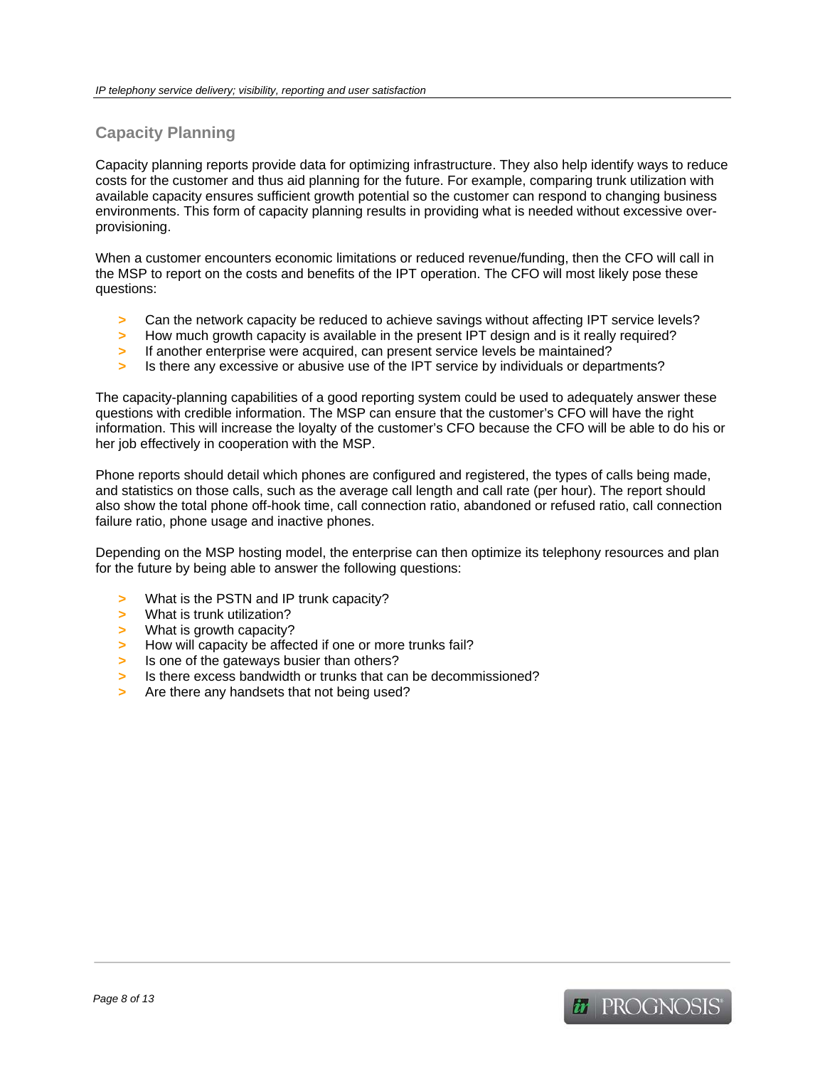# **Capacity Planning**

Capacity planning reports provide data for optimizing infrastructure. They also help identify ways to reduce costs for the customer and thus aid planning for the future. For example, comparing trunk utilization with available capacity ensures sufficient growth potential so the customer can respond to changing business environments. This form of capacity planning results in providing what is needed without excessive overprovisioning.

When a customer encounters economic limitations or reduced revenue/funding, then the CFO will call in the MSP to report on the costs and benefits of the IPT operation. The CFO will most likely pose these questions:

- **>** Can the network capacity be reduced to achieve savings without affecting IPT service levels?
- **>** How much growth capacity is available in the present IPT design and is it really required?
- **>** If another enterprise were acquired, can present service levels be maintained?
- **>** Is there any excessive or abusive use of the IPT service by individuals or departments?

The capacity-planning capabilities of a good reporting system could be used to adequately answer these questions with credible information. The MSP can ensure that the customer's CFO will have the right information. This will increase the loyalty of the customer's CFO because the CFO will be able to do his or her job effectively in cooperation with the MSP.

Phone reports should detail which phones are configured and registered, the types of calls being made, and statistics on those calls, such as the average call length and call rate (per hour). The report should also show the total phone off-hook time, call connection ratio, abandoned or refused ratio, call connection failure ratio, phone usage and inactive phones.

Depending on the MSP hosting model, the enterprise can then optimize its telephony resources and plan for the future by being able to answer the following questions:

- **>** What is the PSTN and IP trunk capacity?
- **>** What is trunk utilization?
- **>** What is growth capacity?
- **>** How will capacity be affected if one or more trunks fail?
- **>** Is one of the gateways busier than others?
- **>** Is there excess bandwidth or trunks that can be decommissioned?
- **>** Are there any handsets that not being used?

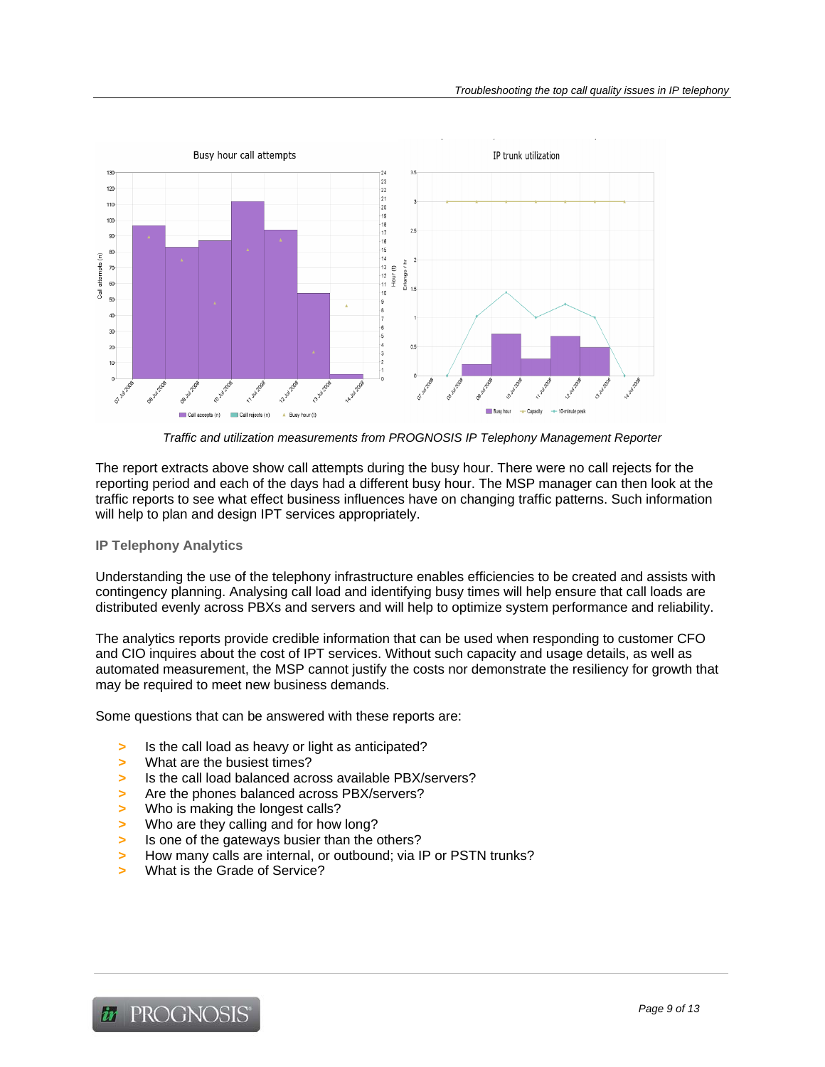

*Traffic and utilization measurements from PROGNOSIS IP Telephony Management Reporter* 

The report extracts above show call attempts during the busy hour. There were no call rejects for the reporting period and each of the days had a different busy hour. The MSP manager can then look at the traffic reports to see what effect business influences have on changing traffic patterns. Such information will help to plan and design IPT services appropriately.

#### **IP Telephony Analytics**

Understanding the use of the telephony infrastructure enables efficiencies to be created and assists with contingency planning. Analysing call load and identifying busy times will help ensure that call loads are distributed evenly across PBXs and servers and will help to optimize system performance and reliability.

The analytics reports provide credible information that can be used when responding to customer CFO and CIO inquires about the cost of IPT services. Without such capacity and usage details, as well as automated measurement, the MSP cannot justify the costs nor demonstrate the resiliency for growth that may be required to meet new business demands.

Some questions that can be answered with these reports are:

- **>** Is the call load as heavy or light as anticipated?
- **>** What are the busiest times?
- **>** Is the call load balanced across available PBX/servers?
- **>** Are the phones balanced across PBX/servers?
- **>** Who is making the longest calls?
- **>** Who are they calling and for how long?
- **>** Is one of the gateways busier than the others?
- **>** How many calls are internal, or outbound; via IP or PSTN trunks?
- **>** What is the Grade of Service?

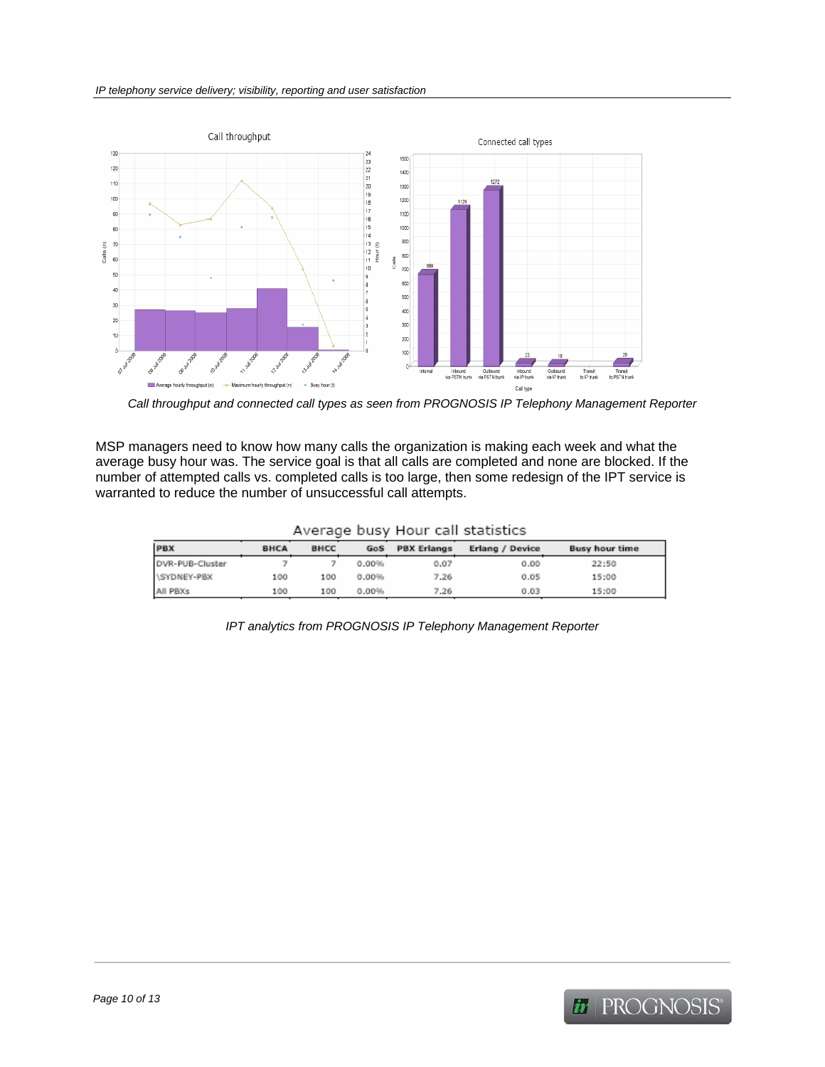

*Call throughput and connected call types as seen from PROGNOSIS IP Telephony Management Reporter* 

MSP managers need to know how many calls the organization is making each week and what the average busy hour was. The service goal is that all calls are completed and none are blocked. If the number of attempted calls vs. completed calls is too large, then some redesign of the IPT service is warranted to reduce the number of unsuccessful call attempts.

| PBX             | <b>BHCA</b> | <b>BHCC</b> | GoS   | <b>PBX Erlangs</b> | Erlang / Device | <b>Busy hour time</b> |
|-----------------|-------------|-------------|-------|--------------------|-----------------|-----------------------|
| DVR-PUB-Cluster |             |             | 0.00% | 0.07               | 0.00            | 22:50                 |
| \SYDNEY-PBX     | 100         | 100         | 0.00% | 7.26               | 0.05            | 15:00                 |
| All PBXs        | 100         | 100         | 0.00% | 7.26               | 0.03            | 15:00                 |

*IPT analytics from PROGNOSIS IP Telephony Management Reporter* 

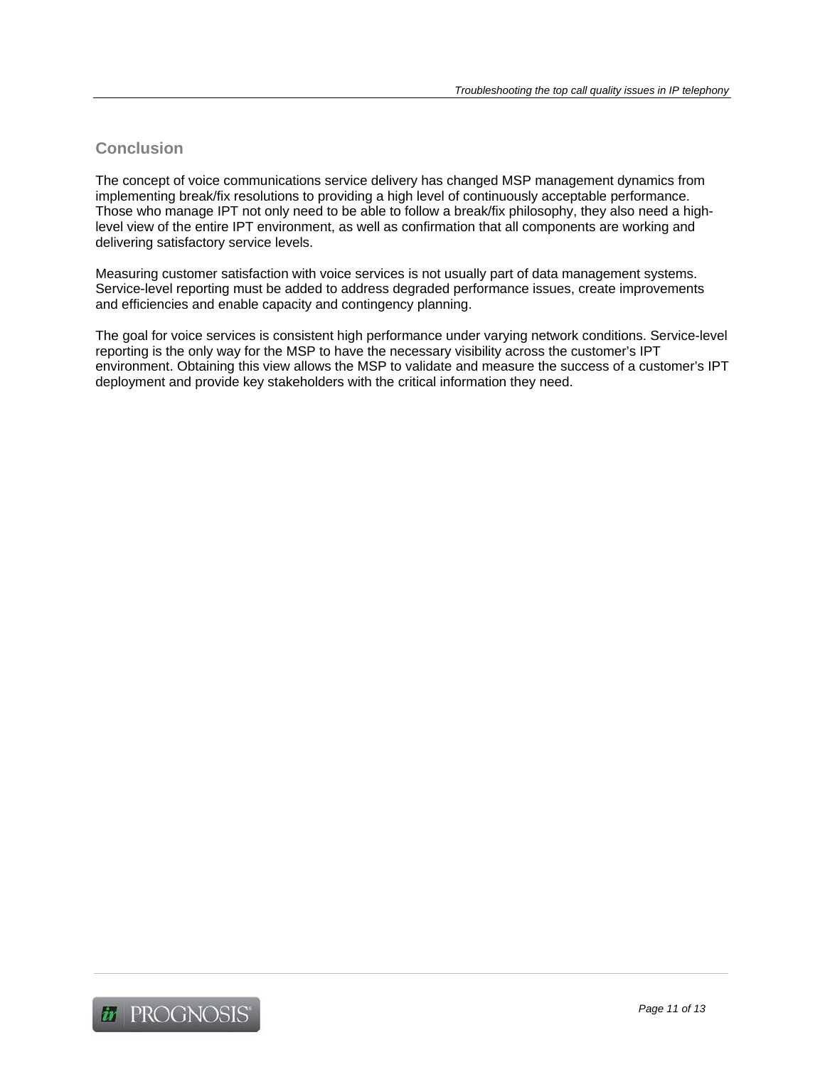# **Conclusion**

The concept of voice communications service delivery has changed MSP management dynamics from implementing break/fix resolutions to providing a high level of continuously acceptable performance. Those who manage IPT not only need to be able to follow a break/fix philosophy, they also need a highlevel view of the entire IPT environment, as well as confirmation that all components are working and delivering satisfactory service levels.

Measuring customer satisfaction with voice services is not usually part of data management systems. Service-level reporting must be added to address degraded performance issues, create improvements and efficiencies and enable capacity and contingency planning.

The goal for voice services is consistent high performance under varying network conditions. Service-level reporting is the only way for the MSP to have the necessary visibility across the customer's IPT environment. Obtaining this view allows the MSP to validate and measure the success of a customer's IPT deployment and provide key stakeholders with the critical information they need.

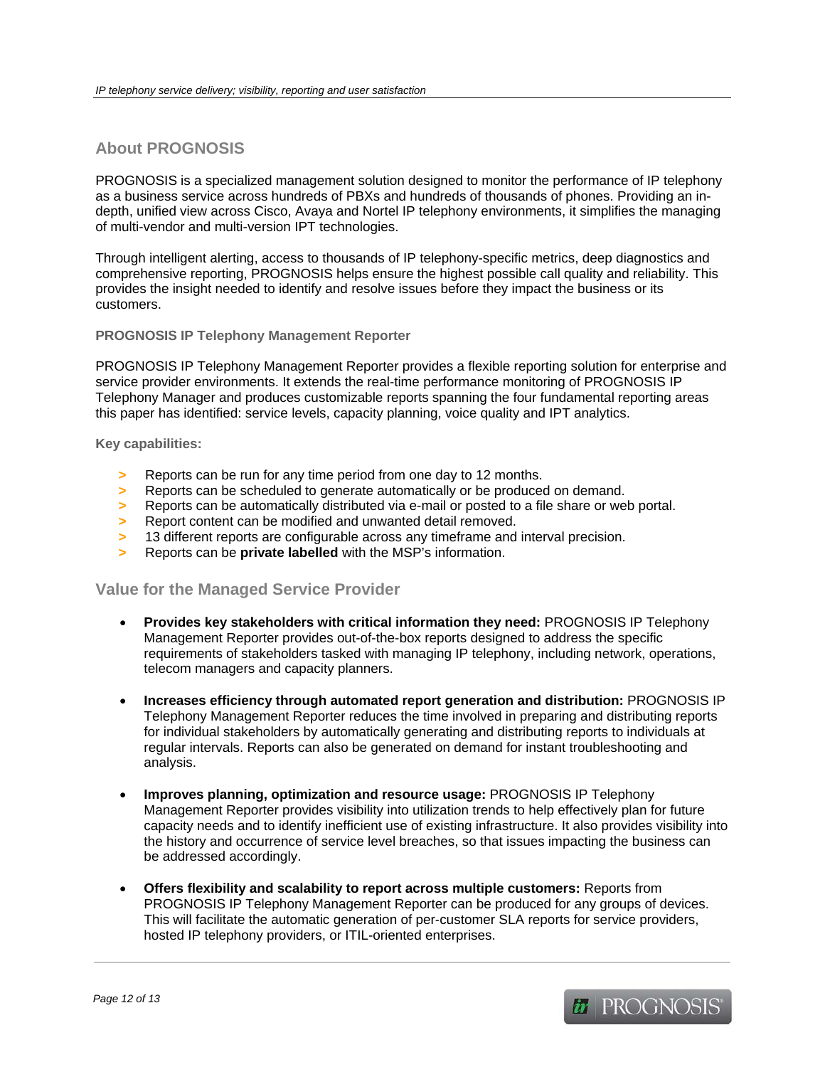# **About PROGNOSIS**

PROGNOSIS is a specialized management solution designed to monitor the performance of IP telephony as a business service across hundreds of PBXs and hundreds of thousands of phones. Providing an indepth, unified view across Cisco, Avaya and Nortel IP telephony environments, it simplifies the managing of multi-vendor and multi-version IPT technologies.

Through intelligent alerting, access to thousands of IP telephony-specific metrics, deep diagnostics and comprehensive reporting, PROGNOSIS helps ensure the highest possible call quality and reliability. This provides the insight needed to identify and resolve issues before they impact the business or its customers.

#### **PROGNOSIS IP Telephony Management Reporter**

PROGNOSIS IP Telephony Management Reporter provides a flexible reporting solution for enterprise and service provider environments. It extends the real-time performance monitoring of PROGNOSIS IP Telephony Manager and produces customizable reports spanning the four fundamental reporting areas this paper has identified: service levels, capacity planning, voice quality and IPT analytics.

#### **Key capabilities:**

- **>** Reports can be run for any time period from one day to 12 months.
- **>** Reports can be scheduled to generate automatically or be produced on demand.
- **>** Reports can be automatically distributed via e-mail or posted to a file share or web portal.
- **>** Report content can be modified and unwanted detail removed.
- **>** 13 different reports are configurable across any timeframe and interval precision.
- **>** Reports can be **private labelled** with the MSP's information.

#### **Value for the Managed Service Provider**

- **Provides key stakeholders with critical information they need:** PROGNOSIS IP Telephony Management Reporter provides out-of-the-box reports designed to address the specific requirements of stakeholders tasked with managing IP telephony, including network, operations, telecom managers and capacity planners.
- **Increases efficiency through automated report generation and distribution:** PROGNOSIS IP Telephony Management Reporter reduces the time involved in preparing and distributing reports for individual stakeholders by automatically generating and distributing reports to individuals at regular intervals. Reports can also be generated on demand for instant troubleshooting and analysis.
- **Improves planning, optimization and resource usage:** PROGNOSIS IP Telephony Management Reporter provides visibility into utilization trends to help effectively plan for future capacity needs and to identify inefficient use of existing infrastructure. It also provides visibility into the history and occurrence of service level breaches, so that issues impacting the business can be addressed accordingly.
- **Offers flexibility and scalability to report across multiple customers:** Reports from PROGNOSIS IP Telephony Management Reporter can be produced for any groups of devices. This will facilitate the automatic generation of per-customer SLA reports for service providers, hosted IP telephony providers, or ITIL-oriented enterprises.